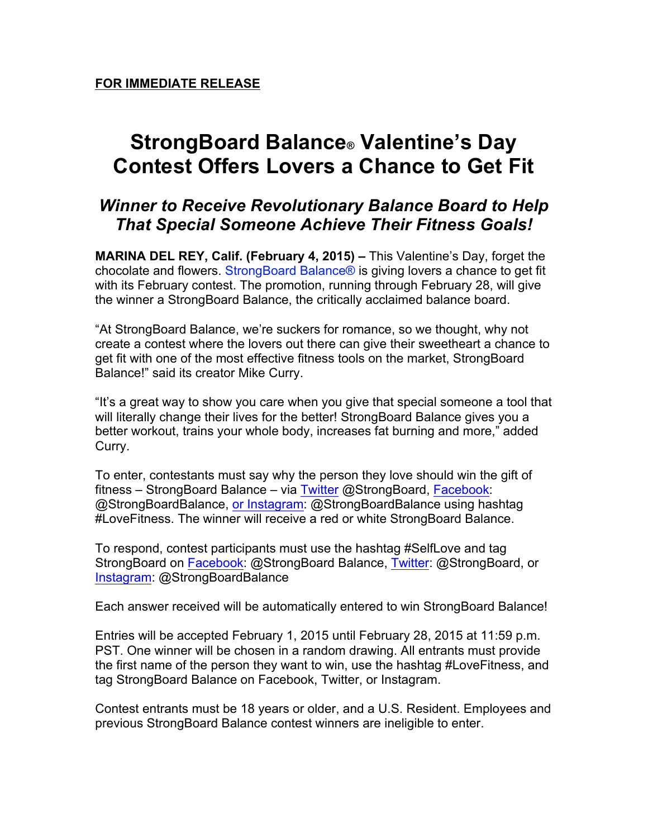## **StrongBoard Balance® Valentine's Day Contest Offers Lovers a Chance to Get Fit**

## *Winner to Receive Revolutionary Balance Board to Help That Special Someone Achieve Their Fitness Goals!*

**MARINA DEL REY, Calif. (February 4, 2015) –** This Valentine's Day, forget the chocolate and flowers. StrongBoard Balance® is giving lovers a chance to get fit with its February contest. The promotion, running through February 28, will give the winner a StrongBoard Balance, the critically acclaimed balance board.

"At StrongBoard Balance, we're suckers for romance, so we thought, why not create a contest where the lovers out there can give their sweetheart a chance to get fit with one of the most effective fitness tools on the market, StrongBoard Balance!" said its creator Mike Curry.

"It's a great way to show you care when you give that special someone a tool that will literally change their lives for the better! StrongBoard Balance gives you a better workout, trains your whole body, increases fat burning and more," added Curry.

To enter, contestants must say why the person they love should win the gift of fitness – StrongBoard Balance – via Twitter @StrongBoard, Facebook: @StrongBoardBalance, or Instagram: @StrongBoardBalance using hashtag #LoveFitness. The winner will receive a red or white StrongBoard Balance.

To respond, contest participants must use the hashtag #SelfLove and tag StrongBoard on Facebook: @StrongBoard Balance, Twitter: @StrongBoard, or Instagram: @StrongBoardBalance

Each answer received will be automatically entered to win StrongBoard Balance!

Entries will be accepted February 1, 2015 until February 28, 2015 at 11:59 p.m. PST. One winner will be chosen in a random drawing. All entrants must provide the first name of the person they want to win, use the hashtag #LoveFitness, and tag StrongBoard Balance on Facebook, Twitter, or Instagram.

Contest entrants must be 18 years or older, and a U.S. Resident. Employees and previous StrongBoard Balance contest winners are ineligible to enter.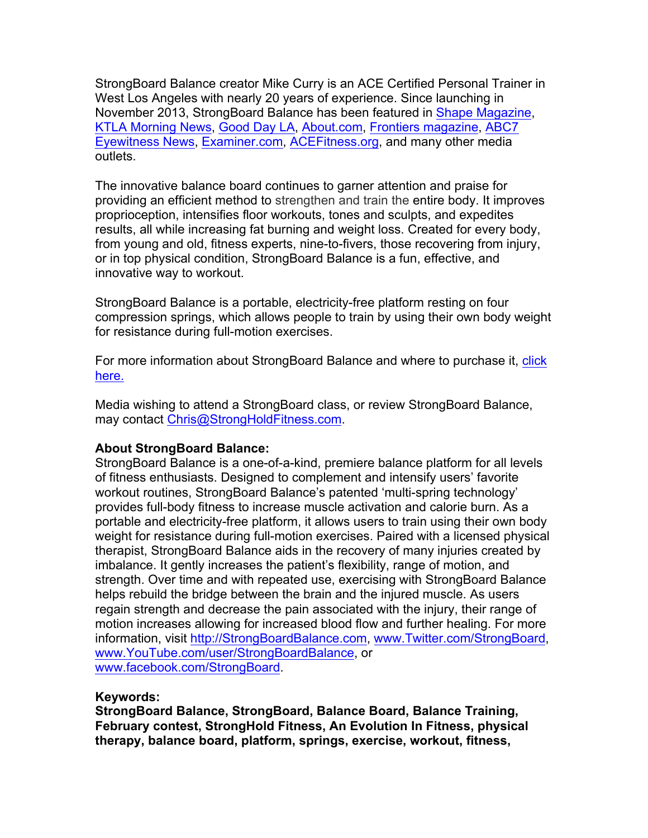StrongBoard Balance creator Mike Curry is an ACE Certified Personal Trainer in West Los Angeles with nearly 20 years of experience. Since launching in November 2013, StrongBoard Balance has been featured in Shape Magazine, KTLA Morning News, Good Day LA, About.com, Frontiers magazine, ABC7 Eyewitness News, Examiner.com, ACEFitness.org, and many other media outlets.

The innovative balance board continues to garner attention and praise for providing an efficient method to strengthen and train the entire body. It improves proprioception, intensifies floor workouts, tones and sculpts, and expedites results, all while increasing fat burning and weight loss. Created for every body, from young and old, fitness experts, nine-to-fivers, those recovering from injury, or in top physical condition, StrongBoard Balance is a fun, effective, and innovative way to workout.

StrongBoard Balance is a portable, electricity-free platform resting on four compression springs, which allows people to train by using their own body weight for resistance during full-motion exercises.

For more information about StrongBoard Balance and where to purchase it, click here.

Media wishing to attend a StrongBoard class, or review StrongBoard Balance, may contact Chris@StrongHoldFitness.com.

## **About StrongBoard Balance:**

StrongBoard Balance is a one-of-a-kind, premiere balance platform for all levels of fitness enthusiasts. Designed to complement and intensify users' favorite workout routines, StrongBoard Balance's patented 'multi-spring technology' provides full-body fitness to increase muscle activation and calorie burn. As a portable and electricity-free platform, it allows users to train using their own body weight for resistance during full-motion exercises. Paired with a licensed physical therapist, StrongBoard Balance aids in the recovery of many injuries created by imbalance. It gently increases the patient's flexibility, range of motion, and strength. Over time and with repeated use, exercising with StrongBoard Balance helps rebuild the bridge between the brain and the injured muscle. As users regain strength and decrease the pain associated with the injury, their range of motion increases allowing for increased blood flow and further healing. For more information, visit http://StrongBoardBalance.com, www.Twitter.com/StrongBoard, www.YouTube.com/user/StrongBoardBalance, or www.facebook.com/StrongBoard.

## **Keywords:**

**StrongBoard Balance, StrongBoard, Balance Board, Balance Training, February contest, StrongHold Fitness, An Evolution In Fitness, physical therapy, balance board, platform, springs, exercise, workout, fitness,**